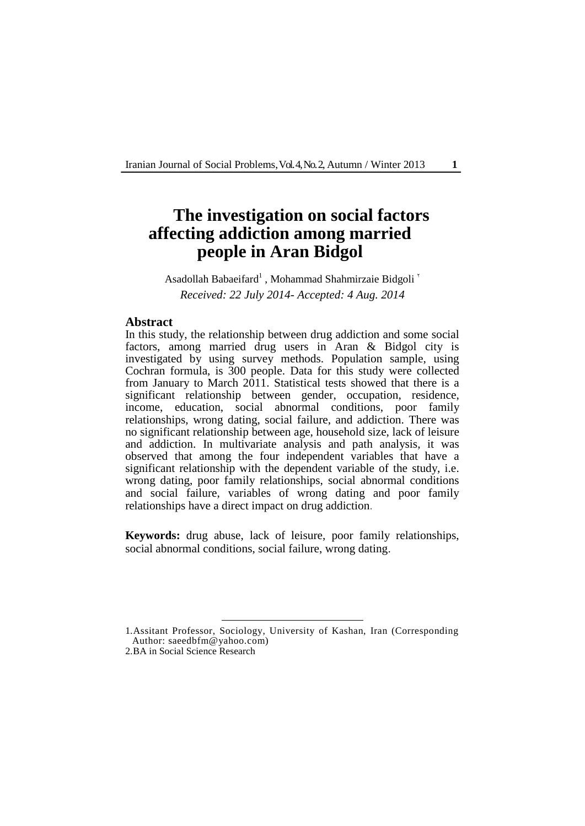Iranian Journal of Social Problems, Vol. 4, No. 2, Autumn / Winter 2013 **1**

# **The investigation on social factors affecting addiction among married people in Aran Bidgol**

Asadollah Babaeifard<sup>1</sup>, Mohammad Shahmirzaie Bidgoli<sup>'</sup> *Received: 22 July 2014- Accepted: 4 Aug. 2014*

### **Abstract**

In this study, the relationship between drug addiction and some social factors, among married drug users in Aran & Bidgol city is investigated by using survey methods. Population sample, using Cochran formula, is 300 people. Data for this study were collected from January to March 2011. Statistical tests showed that there is a significant relationship between gender, occupation, residence, income, education, social abnormal conditions, poor family relationships, wrong dating, social failure, and addiction. There was no significant relationship between age, household size, lack of leisure and addiction. In multivariate analysis and path analysis, it was observed that among the four independent variables that have a significant relationship with the dependent variable of the study, i.e. wrong dating, poor family relationships, social abnormal conditions and social failure, variables of wrong dating and poor family relationships have a direct impact on drug addiction.

**Keywords:** drug abuse, lack of leisure, poor family relationships, social abnormal conditions, social failure, wrong dating.

<sup>1.</sup>Assitant Professor, Sociology, University of Kashan, Iran (Corresponding Author: saeedbfm@yahoo.com)

<sup>2.</sup>BA in Social Science Research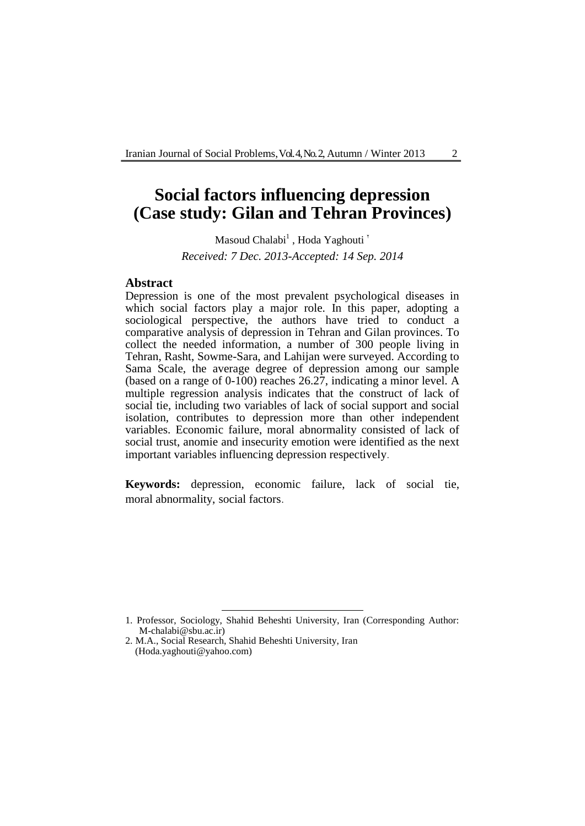# **Social factors influencing depression (Case study: Gilan and Tehran Provinces)**

Masoud Chalabi $^1$  , Hoda Yaghouti  $^{\circ}$ *Received: 7 Dec. 2013-Accepted: 14 Sep. 2014*

#### **Abstract**

Depression is one of the most prevalent psychological diseases in which social factors play a major role. In this paper, adopting a sociological perspective, the authors have tried to conduct a comparative analysis of depression in Tehran and Gilan provinces. To collect the needed information, a number of 300 people living in Tehran, Rasht, Sowme-Sara, and Lahijan were surveyed. According to Sama Scale, the average degree of depression among our sample (based on a range of 0-100) reaches 26.27, indicating a minor level. A multiple regression analysis indicates that the construct of lack of social tie, including two variables of lack of social support and social isolation, contributes to depression more than other independent variables. Economic failure, moral abnormality consisted of lack of social trust, anomie and insecurity emotion were identified as the next important variables influencing depression respectively.

**Keywords:** depression, economic failure, lack of social tie, moral abnormality, social factors.

<sup>1.</sup> Professor, Sociology, Shahid Beheshti University, Iran (Corresponding Author: M-chalabi@sbu.ac.ir)

<sup>2.</sup> M.A., Social Research, Shahid Beheshti University, Iran (Hoda.yaghouti@yahoo.com)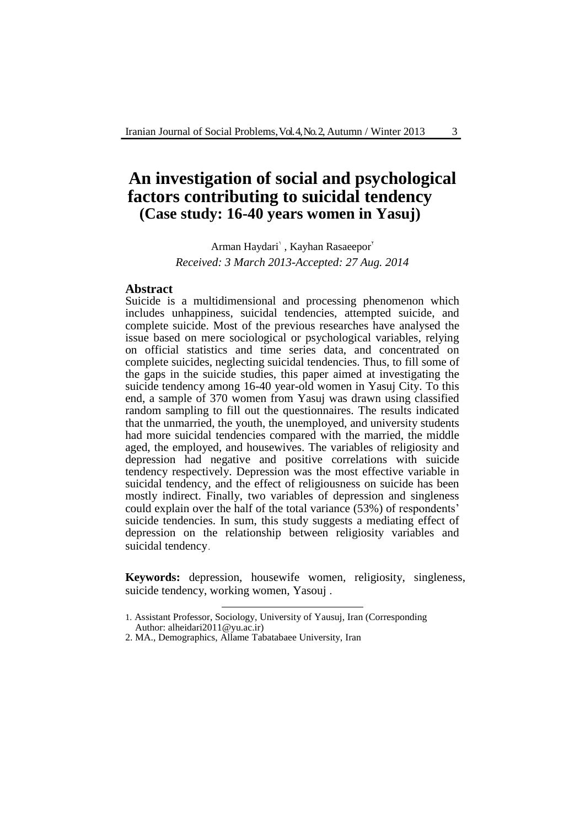## **An investigation of social and psychological factors contributing to suicidal tendency (Case study: 16-40 years women in Yasuj)**

Arman Haydari<sup>'</sup>, Kayhan Rasaeepor<sup>'</sup> *Received: 3 March 2013-Accepted: 27 Aug. 2014*

### **Abstract**

Suicide is a multidimensional and processing phenomenon which includes unhappiness, suicidal tendencies, attempted suicide, and complete suicide. Most of the previous researches have analysed the issue based on mere sociological or psychological variables, relying on official statistics and time series data, and concentrated on complete suicides, neglecting suicidal tendencies. Thus, to fill some of the gaps in the suicide studies, this paper aimed at investigating the suicide tendency among 16-40 year-old women in Yasuj City. To this end, a sample of 370 women from Yasuj was drawn using classified random sampling to fill out the questionnaires. The results indicated that the unmarried, the youth, the unemployed, and university students had more suicidal tendencies compared with the married, the middle aged, the employed, and housewives. The variables of religiosity and depression had negative and positive correlations with suicide tendency respectively. Depression was the most effective variable in suicidal tendency, and the effect of religiousness on suicide has been mostly indirect. Finally, two variables of depression and singleness could explain over the half of the total variance (53%) of respondents' suicide tendencies. In sum, this study suggests a mediating effect of depression on the relationship between religiosity variables and suicidal tendency.

**Keywords:** depression, housewife women, religiosity, singleness, suicide tendency, working women, Yasouj .

<sup>&</sup>lt;u>.</u> 1. Assistant Professor, Sociology, University of Yausuj, Iran (Corresponding Author: alheidari2011@yu.ac.ir)

<sup>2.</sup> MA., Demographics, Allame Tabatabaee University, Iran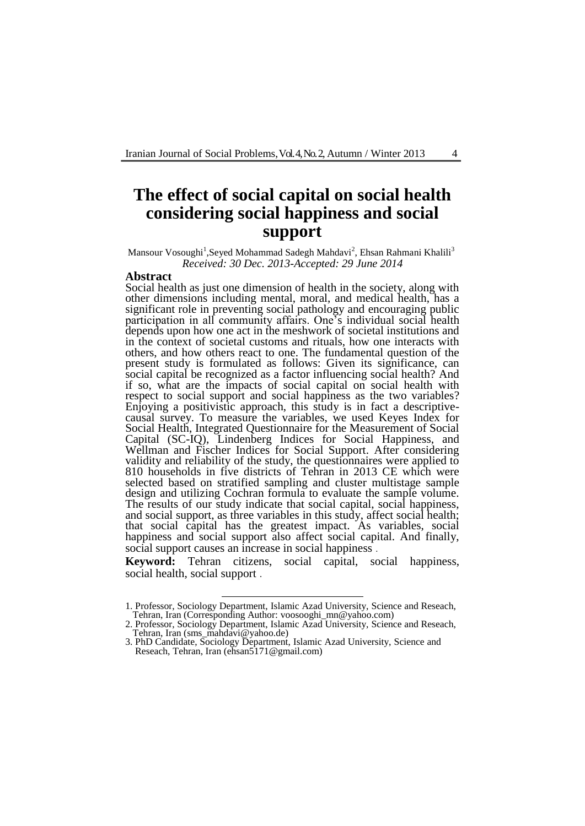## **The effect of social capital on social health considering social happiness and social support**

Mansour Vosoughi<sup>1</sup>,Seyed Mohammad Sadegh Mahdavi<sup>2</sup>, Ehsan Rahmani Khalili<sup>3</sup> *Received: 30 Dec. 2013-Accepted: 29 June 2014*

#### **Abstract**

Social health as just one dimension of health in the society, along with other dimensions including mental, moral, and medical health, has a significant role in preventing social pathology and encouraging public participation in all community affairs. One's individual social health depends upon how one act in the meshwork of societal institutions and in the context of societal customs and rituals, how one interacts with others, and how others react to one. The fundamental question of the present study is formulated as follows: Given its significance, can social capital be recognized as a factor influencing social health? And if so, what are the impacts of social capital on social health with respect to social support and social happiness as the two variables? Enjoying a positivistic approach, this study is in fact a descriptivecausal survey. To measure the variables, we used Keyes Index for Social Health, Integrated Questionnaire for the Measurement of Social Capital (SC-IQ), Lindenberg Indices for Social Happiness, and Wellman and Fischer Indices for Social Support. After considering validity and reliability of the study, the questionnaires were applied to 810 households in five districts of Tehran in 2013 CE which were selected based on stratified sampling and cluster multistage sample design and utilizing Cochran formula to evaluate the sample volume. The results of our study indicate that social capital, social happiness, and social support, as three variables in this study, affect social health; that social capital has the greatest impact. As variables, social happiness and social support also affect social capital. And finally, social support causes an increase in social happiness .

**Keyword:** Tehran citizens, social capital, social happiness, social health, social support .

<sup>1.</sup> Professor, Sociology Department, Islamic Azad University, Science and Reseach, Tehran, Iran (Corresponding Author: voosooghi\_mn@yahoo.com)

<sup>2.</sup> Professor, Sociology Department, Islamic Azad University, Science and Reseach, Tehran, Iran [\(sms\\_mahdavi@yahoo.de\)](mailto:sms_mahdavi@yahoo.de)

<sup>3.</sup> PhD Candidate, Sociology Department, Islamic Azad University, Science and Reseach, Tehran, Iran (ehsan5171@gmail.com)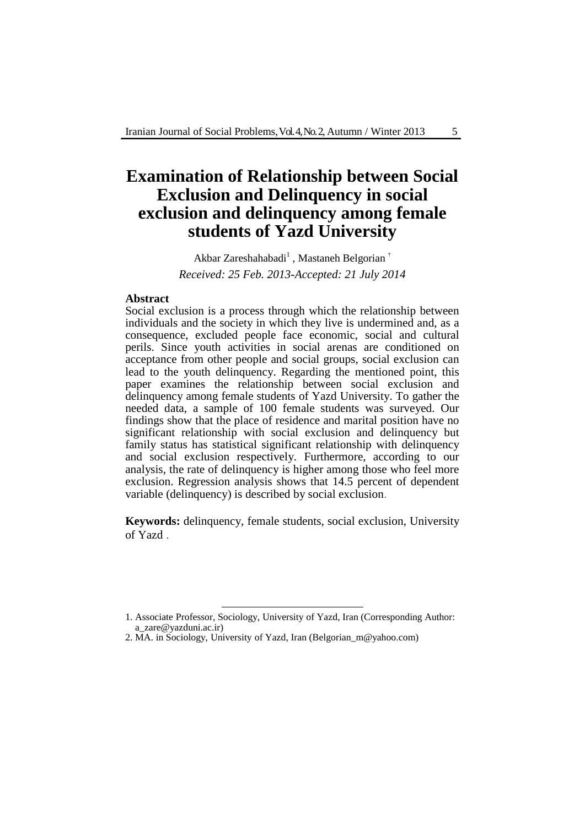# **Examination of Relationship between Social Exclusion and Delinquency in social exclusion and delinquency among female students of Yazd University**

Akbar Zareshahabadi<sup>1</sup>, Mastaneh Belgorian<sup>'</sup> *Received: 25 Feb. 2013-Accepted: 21 July 2014*

#### **Abstract**

Social exclusion is a process through which the relationship between individuals and the society in which they live is undermined and, as a consequence, excluded people face economic, social and cultural perils. Since youth activities in social arenas are conditioned on acceptance from other people and social groups, social exclusion can lead to the youth delinquency. Regarding the mentioned point, this paper examines the relationship between social exclusion and delinquency among female students of Yazd University. To gather the needed data, a sample of 100 female students was surveyed. Our findings show that the place of residence and marital position have no significant relationship with social exclusion and delinquency but family status has statistical significant relationship with delinquency and social exclusion respectively. Furthermore, according to our analysis, the rate of delinquency is higher among those who feel more exclusion. Regression analysis shows that 14.5 percent of dependent variable (delinquency) is described by social exclusion.

**Keywords:** delinquency, female students, social exclusion, University of Yazd .

<sup>1.</sup> Associate Professor, Sociology, University of Yazd, Iran (Corresponding Author: a\_zare@yazduni.ac.ir)

<sup>2.</sup> MA. in Sociology, University of Yazd, Iran (Belgorian\_m@yahoo.com)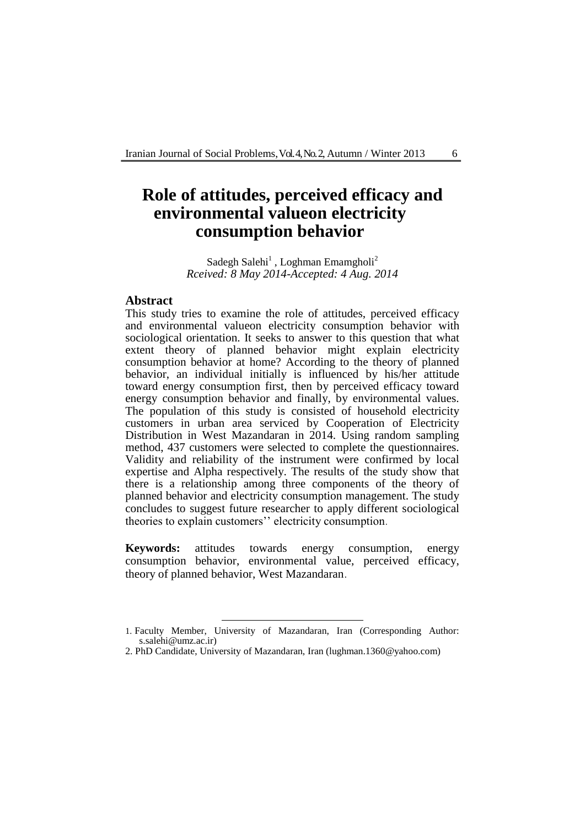## **Role of attitudes, perceived efficacy and environmental valueon electricity consumption behavior**

Sadegh Salehi<sup>1</sup>, Loghman Emamgholi<sup>2</sup> *Rceived: 8 May 2014-Accepted: 4 Aug. 2014*

## **Abstract**

This study tries to examine the role of attitudes, perceived efficacy and environmental valueon electricity consumption behavior with sociological orientation. It seeks to answer to this question that what extent theory of planned behavior might explain electricity consumption behavior at home? According to the theory of planned behavior, an individual initially is influenced by his/her attitude toward energy consumption first, then by perceived efficacy toward energy consumption behavior and finally, by environmental values. The population of this study is consisted of household electricity customers in urban area serviced by Cooperation of Electricity Distribution in West Mazandaran in 2014. Using random sampling method, 437 customers were selected to complete the questionnaires. Validity and reliability of the instrument were confirmed by local expertise and Alpha respectively. The results of the study show that there is a relationship among three components of the theory of planned behavior and electricity consumption management. The study concludes to suggest future researcher to apply different sociological theories to explain customers'' electricity consumption.

**Keywords:** attitudes towards energy consumption, energy consumption behavior, environmental value, perceived efficacy, theory of planned behavior, West Mazandaran.

<sup>1.</sup> Faculty Member, University of Mazandaran, Iran (Corresponding Author: s.salehi@umz.ac.ir)

<sup>2.</sup> PhD Candidate, University of Mazandaran, Iran (lughman.1360@yahoo.com)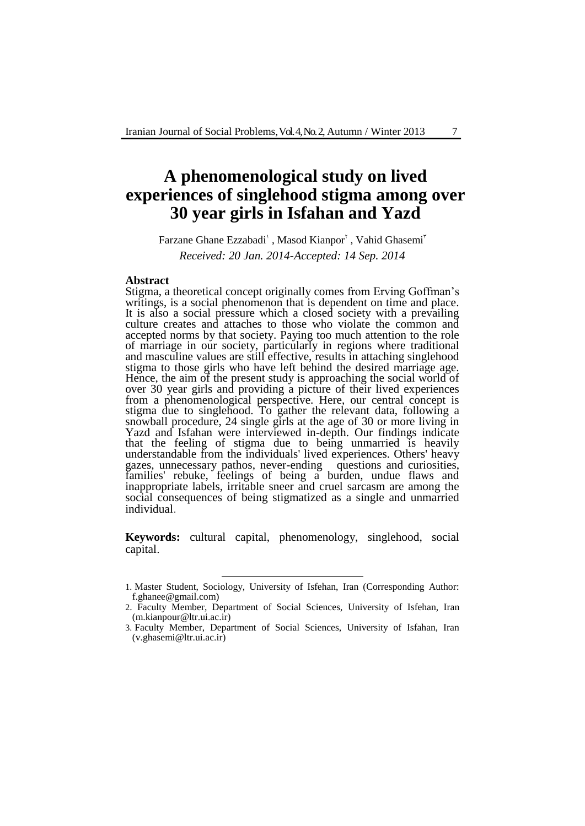## **A phenomenological study on lived experiences of singlehood stigma among over 30 year girls in Isfahan and Yazd**

Farzane Ghane Ezzabadi', Masod Kianpor', Vahid Ghasemi' *Received: 20 Jan. 2014-Accepted: 14 Sep. 2014*

#### **Abstract**

Stigma, a theoretical concept originally comes from Erving Goffman's writings, is a social phenomenon that is dependent on time and place. It is also a social pressure which a closed society with a prevailing culture creates and attaches to those who violate the common and accepted norms by that society. Paying too much attention to the role of marriage in our society, particularly in regions where traditional and masculine values are still effective, results in attaching singlehood stigma to those girls who have left behind the desired marriage age. Hence, the aim of the present study is approaching the social world of over 30 year girls and providing a picture of their lived experiences from a phenomenological perspective. Here, our central concept is stigma due to singlehood. To gather the relevant data, following a snowball procedure, 24 single girls at the age of 30 or more living in Yazd and Isfahan were interviewed in-depth. Our findings indicate that the feeling of stigma due to being unmarried is heavily understandable from the individuals' lived experiences. Others' heavy gazes, unnecessary pathos, never-ending questions and curiosities, families' rebuke, feelings of being a burden, undue flaws and inappropriate labels, irritable sneer and cruel sarcasm are among the social consequences of being stigmatized as a single and unmarried individual.

**Keywords:** cultural capital, phenomenology, singlehood, social capital.

-

<sup>1.</sup> Master Student, Sociology, University of Isfehan, Iran (Corresponding Author: f.ghanee@gmail.com)

<sup>2</sup>. Faculty Member, Department of Social Sciences, University of Isfehan, Iran (m.kianpour@ltr.ui.ac.ir)

<sup>3.</sup> Faculty Member, Department of Social Sciences, University of Isfahan, Iran (v.ghasemi@ltr.ui.ac.ir)